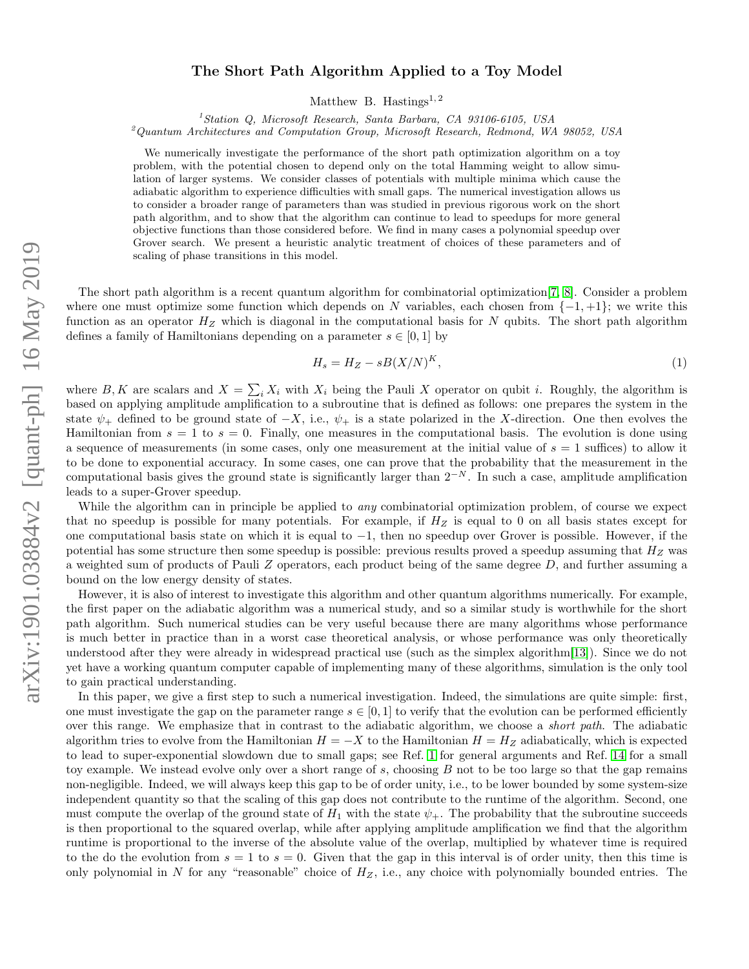# arXiv:1901.03884v2 [quant-ph] 16 May 2019 arXiv:1901.03884v2 [quant-ph] 16 May 2019

# The Short Path Algorithm Applied to a Toy Model

Matthew B. Hastings<sup>1,2</sup>

<sup>1</sup>Station Q, Microsoft Research, Santa Barbara, CA 93106-6105, USA

<sup>2</sup>Quantum Architectures and Computation Group, Microsoft Research, Redmond, WA 98052, USA

We numerically investigate the performance of the short path optimization algorithm on a toy problem, with the potential chosen to depend only on the total Hamming weight to allow simulation of larger systems. We consider classes of potentials with multiple minima which cause the adiabatic algorithm to experience difficulties with small gaps. The numerical investigation allows us to consider a broader range of parameters than was studied in previous rigorous work on the short path algorithm, and to show that the algorithm can continue to lead to speedups for more general objective functions than those considered before. We find in many cases a polynomial speedup over Grover search. We present a heuristic analytic treatment of choices of these parameters and of scaling of phase transitions in this model.

The short path algorithm is a recent quantum algorithm for combinatorial optimization[\[7,](#page-10-0) [8\]](#page-10-1). Consider a problem where one must optimize some function which depends on N variables, each chosen from  $\{-1, +1\}$ ; we write this function as an operator  $H_Z$  which is diagonal in the computational basis for N qubits. The short path algorithm defines a family of Hamiltonians depending on a parameter  $s \in [0, 1]$  by

<span id="page-0-0"></span>
$$
H_s = H_Z - sB(X/N)^K,\t\t(1)
$$

where B, K are scalars and  $X = \sum_i X_i$  with  $X_i$  being the Pauli X operator on qubit i. Roughly, the algorithm is based on applying amplitude amplification to a subroutine that is defined as follows: one prepares the system in the state  $\psi_+$  defined to be ground state of  $-X$ , i.e.,  $\psi_+$  is a state polarized in the X-direction. One then evolves the Hamiltonian from  $s = 1$  to  $s = 0$ . Finally, one measures in the computational basis. The evolution is done using a sequence of measurements (in some cases, only one measurement at the initial value of  $s = 1$  suffices) to allow it to be done to exponential accuracy. In some cases, one can prove that the probability that the measurement in the computational basis gives the ground state is significantly larger than  $2^{-N}$ . In such a case, amplitude amplification leads to a super-Grover speedup.

While the algorithm can in principle be applied to *any* combinatorial optimization problem, of course we expect that no speedup is possible for many potentials. For example, if  $H_Z$  is equal to 0 on all basis states except for one computational basis state on which it is equal to −1, then no speedup over Grover is possible. However, if the potential has some structure then some speedup is possible: previous results proved a speedup assuming that  $H_Z$  was a weighted sum of products of Pauli Z operators, each product being of the same degree D, and further assuming a bound on the low energy density of states.

However, it is also of interest to investigate this algorithm and other quantum algorithms numerically. For example, the first paper on the adiabatic algorithm was a numerical study, and so a similar study is worthwhile for the short path algorithm. Such numerical studies can be very useful because there are many algorithms whose performance is much better in practice than in a worst case theoretical analysis, or whose performance was only theoretically understood after they were already in widespread practical use (such as the simplex algorithm[\[13\]](#page-11-0)). Since we do not yet have a working quantum computer capable of implementing many of these algorithms, simulation is the only tool to gain practical understanding.

In this paper, we give a first step to such a numerical investigation. Indeed, the simulations are quite simple: first, one must investigate the gap on the parameter range  $s \in [0,1]$  to verify that the evolution can be performed efficiently over this range. We emphasize that in contrast to the adiabatic algorithm, we choose a *short path*. The adiabatic algorithm tries to evolve from the Hamiltonian  $H = -X$  to the Hamiltonian  $H = H_Z$  adiabatically, which is expected to lead to super-exponential slowdown due to small gaps; see Ref. [1](#page-10-2) for general arguments and Ref. [14](#page-11-1) for a small toy example. We instead evolve only over a short range of s, choosing B not to be too large so that the gap remains non-negligible. Indeed, we will always keep this gap to be of order unity, i.e., to be lower bounded by some system-size independent quantity so that the scaling of this gap does not contribute to the runtime of the algorithm. Second, one must compute the overlap of the ground state of  $H_1$  with the state  $\psi_+$ . The probability that the subroutine succeeds is then proportional to the squared overlap, while after applying amplitude amplification we find that the algorithm runtime is proportional to the inverse of the absolute value of the overlap, multiplied by whatever time is required to the do the evolution from  $s = 1$  to  $s = 0$ . Given that the gap in this interval is of order unity, then this time is only polynomial in N for any "reasonable" choice of  $H_Z$ , i.e., any choice with polynomially bounded entries. The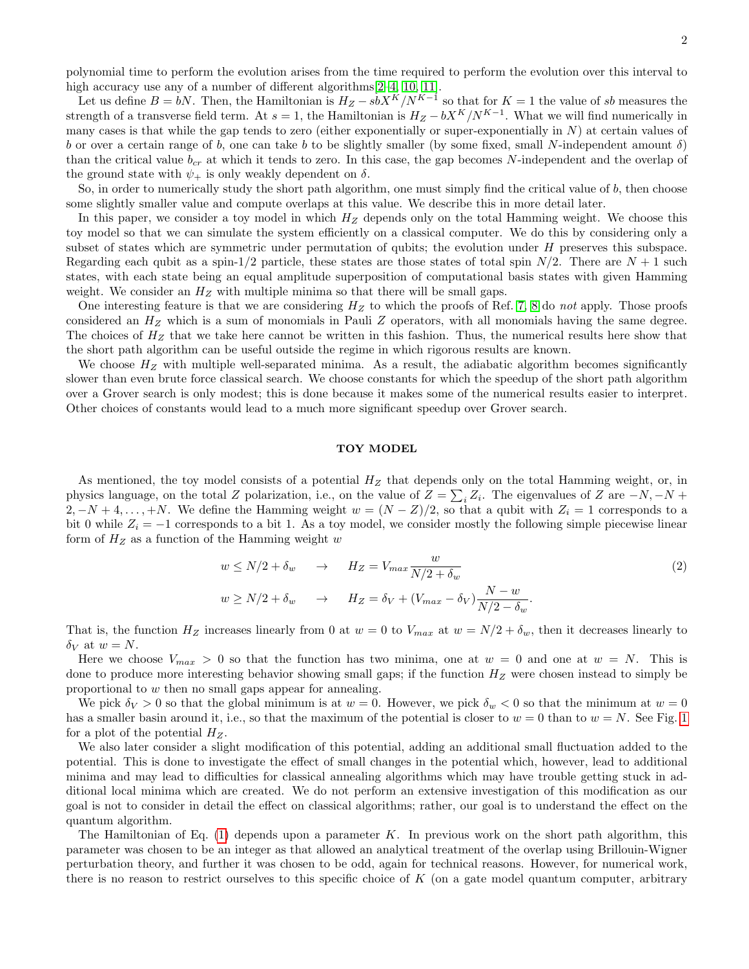polynomial time to perform the evolution arises from the time required to perform the evolution over this interval to high accuracy use any of a number of different algorithms  $[2-4, 10, 11]$  $[2-4, 10, 11]$  $[2-4, 10, 11]$  $[2-4, 10, 11]$ .

Let us define  $B = bN$ . Then, the Hamiltonian is  $H_Z - sbX^K/N^{K-1}$  so that for  $K = 1$  the value of sb measures the strength of a transverse field term. At  $s = 1$ , the Hamiltonian is  $H_Z - bX^K/N^{K-1}$ . What we will find numerically in many cases is that while the gap tends to zero (either exponentially or super-exponentially in  $N$ ) at certain values of b or over a certain range of b, one can take b to be slightly smaller (by some fixed, small N-independent amount  $\delta$ ) than the critical value  $b_{cr}$  at which it tends to zero. In this case, the gap becomes N-independent and the overlap of the ground state with  $\psi_+$  is only weakly dependent on  $\delta$ .

So, in order to numerically study the short path algorithm, one must simply find the critical value of  $b$ , then choose some slightly smaller value and compute overlaps at this value. We describe this in more detail later.

In this paper, we consider a toy model in which  $H_Z$  depends only on the total Hamming weight. We choose this toy model so that we can simulate the system efficiently on a classical computer. We do this by considering only a subset of states which are symmetric under permutation of qubits; the evolution under H preserves this subspace. Regarding each qubit as a spin-1/2 particle, these states are those states of total spin  $N/2$ . There are  $N + 1$  such states, with each state being an equal amplitude superposition of computational basis states with given Hamming weight. We consider an  $H<sub>Z</sub>$  with multiple minima so that there will be small gaps.

One interesting feature is that we are considering  $H_Z$  to which the proofs of Ref. [7,](#page-10-0) [8](#page-10-1) do not apply. Those proofs considered an  $H_Z$  which is a sum of monomials in Pauli Z operators, with all monomials having the same degree. The choices of  $H_Z$  that we take here cannot be written in this fashion. Thus, the numerical results here show that the short path algorithm can be useful outside the regime in which rigorous results are known.

We choose  $H<sub>Z</sub>$  with multiple well-separated minima. As a result, the adiabatic algorithm becomes significantly slower than even brute force classical search. We choose constants for which the speedup of the short path algorithm over a Grover search is only modest; this is done because it makes some of the numerical results easier to interpret. Other choices of constants would lead to a much more significant speedup over Grover search.

### TOY MODEL

As mentioned, the toy model consists of a potential  $H_Z$  that depends only on the total Hamming weight, or, in physics language, on the total Z polarization, i.e., on the value of  $Z = \sum_i Z_i$ . The eigenvalues of Z are  $-N, -N +$  $2, -N+4, \ldots, +N$ . We define the Hamming weight  $w = (N - Z)/2$ , so that a qubit with  $Z_i = 1$  corresponds to a bit 0 while  $Z_i = -1$  corresponds to a bit 1. As a toy model, we consider mostly the following simple piecewise linear form of  $H_Z$  as a function of the Hamming weight w

$$
w \le N/2 + \delta_w \quad \to \quad H_Z = V_{max} \frac{w}{N/2 + \delta_w}
$$
  
\n
$$
w \ge N/2 + \delta_w \quad \to \quad H_Z = \delta_V + (V_{max} - \delta_V) \frac{N - w}{N/2 - \delta_w}.
$$
\n
$$
(2)
$$

That is, the function  $H_Z$  increases linearly from 0 at  $w = 0$  to  $V_{max}$  at  $w = N/2 + \delta_w$ , then it decreases linearly to  $\delta_V$  at  $w = N$ .

Here we choose  $V_{max} > 0$  so that the function has two minima, one at  $w = 0$  and one at  $w = N$ . This is done to produce more interesting behavior showing small gaps; if the function  $H_Z$  were chosen instead to simply be proportional to w then no small gaps appear for annealing.

We pick  $\delta_V > 0$  so that the global minimum is at  $w = 0$ . However, we pick  $\delta_w < 0$  so that the minimum at  $w = 0$ has a smaller basin around it, i.e., so that the maximum of the potential is closer to  $w = 0$  than to  $w = N$ . See Fig. [1](#page-2-0) for a plot of the potential  $H_Z$ .

We also later consider a slight modification of this potential, adding an additional small fluctuation added to the potential. This is done to investigate the effect of small changes in the potential which, however, lead to additional minima and may lead to difficulties for classical annealing algorithms which may have trouble getting stuck in additional local minima which are created. We do not perform an extensive investigation of this modification as our goal is not to consider in detail the effect on classical algorithms; rather, our goal is to understand the effect on the quantum algorithm.

The Hamiltonian of Eq.  $(1)$  depends upon a parameter K. In previous work on the short path algorithm, this parameter was chosen to be an integer as that allowed an analytical treatment of the overlap using Brillouin-Wigner perturbation theory, and further it was chosen to be odd, again for technical reasons. However, for numerical work, there is no reason to restrict ourselves to this specific choice of  $K$  (on a gate model quantum computer, arbitrary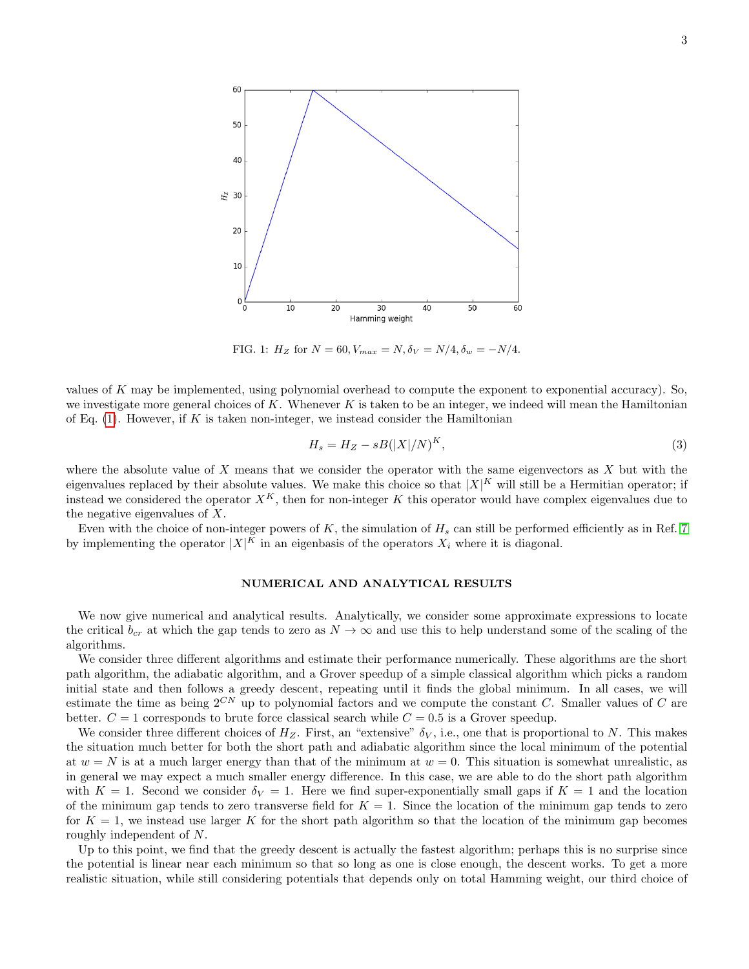

<span id="page-2-0"></span>FIG. 1:  $H_Z$  for  $N = 60, V_{max} = N, \delta_V = N/4, \delta_w = -N/4.$ 

values of  $K$  may be implemented, using polynomial overhead to compute the exponent to exponential accuracy). So, we investigate more general choices of K. Whenever K is taken to be an integer, we indeed will mean the Hamiltonian of Eq.  $(1)$ . However, if K is taken non-integer, we instead consider the Hamiltonian

$$
H_s = H_Z - sB(|X|/N)^K,\t\t(3)
$$

where the absolute value of  $X$  means that we consider the operator with the same eigenvectors as  $X$  but with the eigenvalues replaced by their absolute values. We make this choice so that  $|X|^K$  will still be a Hermitian operator; if instead we considered the operator  $X^K$ , then for non-integer K this operator would have complex eigenvalues due to the negative eigenvalues of X.

Even with the choice of non-integer powers of K, the simulation of  $H_s$  can still be performed efficiently as in Ref. [7](#page-10-0) by implementing the operator  $|X|^K$  in an eigenbasis of the operators  $X_i$  where it is diagonal.

# NUMERICAL AND ANALYTICAL RESULTS

We now give numerical and analytical results. Analytically, we consider some approximate expressions to locate the critical  $b_{cr}$  at which the gap tends to zero as  $N \to \infty$  and use this to help understand some of the scaling of the algorithms.

We consider three different algorithms and estimate their performance numerically. These algorithms are the short path algorithm, the adiabatic algorithm, and a Grover speedup of a simple classical algorithm which picks a random initial state and then follows a greedy descent, repeating until it finds the global minimum. In all cases, we will estimate the time as being  $2^{CN}$  up to polynomial factors and we compute the constant C. Smaller values of C are better.  $C = 1$  corresponds to brute force classical search while  $C = 0.5$  is a Grover speedup.

We consider three different choices of  $H_Z$ . First, an "extensive"  $\delta_V$ , i.e., one that is proportional to N. This makes the situation much better for both the short path and adiabatic algorithm since the local minimum of the potential at  $w = N$  is at a much larger energy than that of the minimum at  $w = 0$ . This situation is somewhat unrealistic, as in general we may expect a much smaller energy difference. In this case, we are able to do the short path algorithm with  $K = 1$ . Second we consider  $\delta_V = 1$ . Here we find super-exponentially small gaps if  $K = 1$  and the location of the minimum gap tends to zero transverse field for  $K = 1$ . Since the location of the minimum gap tends to zero for  $K = 1$ , we instead use larger K for the short path algorithm so that the location of the minimum gap becomes roughly independent of N.

Up to this point, we find that the greedy descent is actually the fastest algorithm; perhaps this is no surprise since the potential is linear near each minimum so that so long as one is close enough, the descent works. To get a more realistic situation, while still considering potentials that depends only on total Hamming weight, our third choice of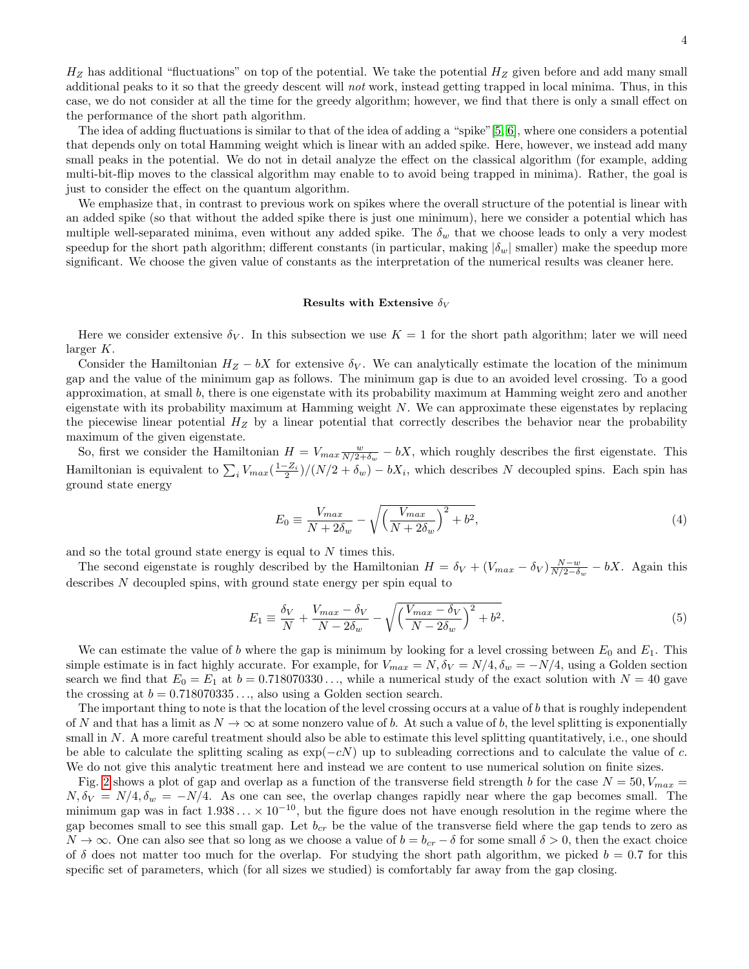$H_Z$  has additional "fluctuations" on top of the potential. We take the potential  $H_Z$  given before and add many small additional peaks to it so that the greedy descent will not work, instead getting trapped in local minima. Thus, in this case, we do not consider at all the time for the greedy algorithm; however, we find that there is only a small effect on the performance of the short path algorithm.

The idea of adding fluctuations is similar to that of the idea of adding a "spike"[\[5,](#page-10-7) [6\]](#page-10-8), where one considers a potential that depends only on total Hamming weight which is linear with an added spike. Here, however, we instead add many small peaks in the potential. We do not in detail analyze the effect on the classical algorithm (for example, adding multi-bit-flip moves to the classical algorithm may enable to to avoid being trapped in minima). Rather, the goal is just to consider the effect on the quantum algorithm.

We emphasize that, in contrast to previous work on spikes where the overall structure of the potential is linear with an added spike (so that without the added spike there is just one minimum), here we consider a potential which has multiple well-separated minima, even without any added spike. The  $\delta_w$  that we choose leads to only a very modest speedup for the short path algorithm; different constants (in particular, making  $|\delta_w|$  smaller) make the speedup more significant. We choose the given value of constants as the interpretation of the numerical results was cleaner here.

### Results with Extensive  $\delta_V$

Here we consider extensive  $\delta_V$ . In this subsection we use  $K = 1$  for the short path algorithm; later we will need larger K.

Consider the Hamiltonian  $H_Z - bX$  for extensive  $\delta_V$ . We can analytically estimate the location of the minimum gap and the value of the minimum gap as follows. The minimum gap is due to an avoided level crossing. To a good approximation, at small b, there is one eigenstate with its probability maximum at Hamming weight zero and another eigenstate with its probability maximum at Hamming weight N. We can approximate these eigenstates by replacing the piecewise linear potential  $H_Z$  by a linear potential that correctly describes the behavior near the probability maximum of the given eigenstate.

So, first we consider the Hamiltonian  $H = V_{max} \frac{w}{N/2+\delta_w} - bX$ , which roughly describes the first eigenstate. This Hamiltonian is equivalent to  $\sum_i V_{max}(\frac{1-Z_i}{2})/(N/2 + \delta_w) - bX_i$ , which describes N decoupled spins. Each spin has ground state energy

$$
E_0 \equiv \frac{V_{max}}{N + 2\delta_w} - \sqrt{\left(\frac{V_{max}}{N + 2\delta_w}\right)^2 + b^2},\tag{4}
$$

and so the total ground state energy is equal to  $N$  times this.

The second eigenstate is roughly described by the Hamiltonian  $H = \delta_V + (V_{max} - \delta_V) \frac{N-w}{N/2-\delta_w} - bX$ . Again this describes N decoupled spins, with ground state energy per spin equal to

$$
E_1 \equiv \frac{\delta_V}{N} + \frac{V_{max} - \delta_V}{N - 2\delta_w} - \sqrt{\left(\frac{V_{max} - \delta_V}{N - 2\delta_w}\right)^2 + b^2}.
$$
\n<sup>(5)</sup>

We can estimate the value of b where the gap is minimum by looking for a level crossing between  $E_0$  and  $E_1$ . This simple estimate is in fact highly accurate. For example, for  $V_{max} = N$ ,  $\delta_V = N/4$ ,  $\delta_w = -N/4$ , using a Golden section search we find that  $E_0 = E_1$  at  $b = 0.718070330...$ , while a numerical study of the exact solution with  $N = 40$  gave the crossing at  $b = 0.718070335...$ , also using a Golden section search.

The important thing to note is that the location of the level crossing occurs at a value of  $b$  that is roughly independent of N and that has a limit as  $N \to \infty$  at some nonzero value of b. At such a value of b, the level splitting is exponentially small in N. A more careful treatment should also be able to estimate this level splitting quantitatively, i.e., one should be able to calculate the splitting scaling as  $\exp(-cN)$  up to subleading corrections and to calculate the value of c. We do not give this analytic treatment here and instead we are content to use numerical solution on finite sizes.

Fig. [2](#page-4-0) shows a plot of gap and overlap as a function of the transverse field strength b for the case  $N = 50$ ,  $V_{max} =$  $N, \delta_V = N/4, \delta_w = -N/4$ . As one can see, the overlap changes rapidly near where the gap becomes small. The minimum gap was in fact  $1.938... \times 10^{-10}$ , but the figure does not have enough resolution in the regime where the gap becomes small to see this small gap. Let  $b_{cr}$  be the value of the transverse field where the gap tends to zero as  $N \to \infty$ . One can also see that so long as we choose a value of  $b = b_{cr} - \delta$  for some small  $\delta > 0$ , then the exact choice of  $\delta$  does not matter too much for the overlap. For studying the short path algorithm, we picked  $b = 0.7$  for this specific set of parameters, which (for all sizes we studied) is comfortably far away from the gap closing.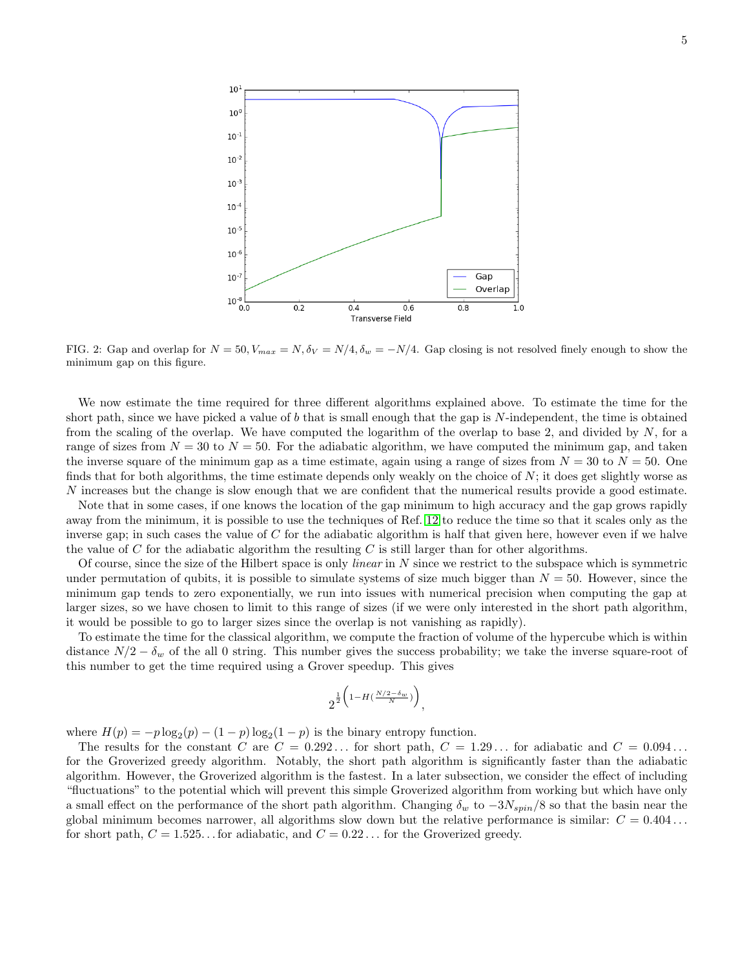

<span id="page-4-0"></span>FIG. 2: Gap and overlap for  $N = 50$ ,  $V_{max} = N$ ,  $\delta_V = N/4$ ,  $\delta_w = -N/4$ . Gap closing is not resolved finely enough to show the minimum gap on this figure.

We now estimate the time required for three different algorithms explained above. To estimate the time for the short path, since we have picked a value of b that is small enough that the gap is  $N$ -independent, the time is obtained from the scaling of the overlap. We have computed the logarithm of the overlap to base 2, and divided by N, for a range of sizes from  $N = 30$  to  $N = 50$ . For the adiabatic algorithm, we have computed the minimum gap, and taken the inverse square of the minimum gap as a time estimate, again using a range of sizes from  $N = 30$  to  $N = 50$ . One finds that for both algorithms, the time estimate depends only weakly on the choice of  $N$ ; it does get slightly worse as N increases but the change is slow enough that we are confident that the numerical results provide a good estimate.

Note that in some cases, if one knows the location of the gap minimum to high accuracy and the gap grows rapidly away from the minimum, it is possible to use the techniques of Ref. [12](#page-10-9) to reduce the time so that it scales only as the inverse gap; in such cases the value of  $C$  for the adiabatic algorithm is half that given here, however even if we halve the value of  $C$  for the adiabatic algorithm the resulting  $C$  is still larger than for other algorithms.

Of course, since the size of the Hilbert space is only *linear* in  $N$  since we restrict to the subspace which is symmetric under permutation of qubits, it is possible to simulate systems of size much bigger than  $N = 50$ . However, since the minimum gap tends to zero exponentially, we run into issues with numerical precision when computing the gap at larger sizes, so we have chosen to limit to this range of sizes (if we were only interested in the short path algorithm, it would be possible to go to larger sizes since the overlap is not vanishing as rapidly).

To estimate the time for the classical algorithm, we compute the fraction of volume of the hypercube which is within distance  $N/2 - \delta_w$  of the all 0 string. This number gives the success probability; we take the inverse square-root of this number to get the time required using a Grover speedup. This gives

$$
2^{\frac{1}{2}\left(1-H(\frac{N/2-\delta_w}{N})\right)}
$$

,

where  $H(p) = -p \log_2(p) - (1-p) \log_2(1-p)$  is the binary entropy function.

The results for the constant C are  $C = 0.292...$  for short path,  $C = 1.29...$  for adiabatic and  $C = 0.094...$ for the Groverized greedy algorithm. Notably, the short path algorithm is significantly faster than the adiabatic algorithm. However, the Groverized algorithm is the fastest. In a later subsection, we consider the effect of including "fluctuations" to the potential which will prevent this simple Groverized algorithm from working but which have only a small effect on the performance of the short path algorithm. Changing  $\delta_w$  to  $-3N_{spin}/8$  so that the basin near the global minimum becomes narrower, all algorithms slow down but the relative performance is similar:  $C = 0.404...$ for short path,  $C = 1.525...$  for adiabatic, and  $C = 0.22...$  for the Groverized greedy.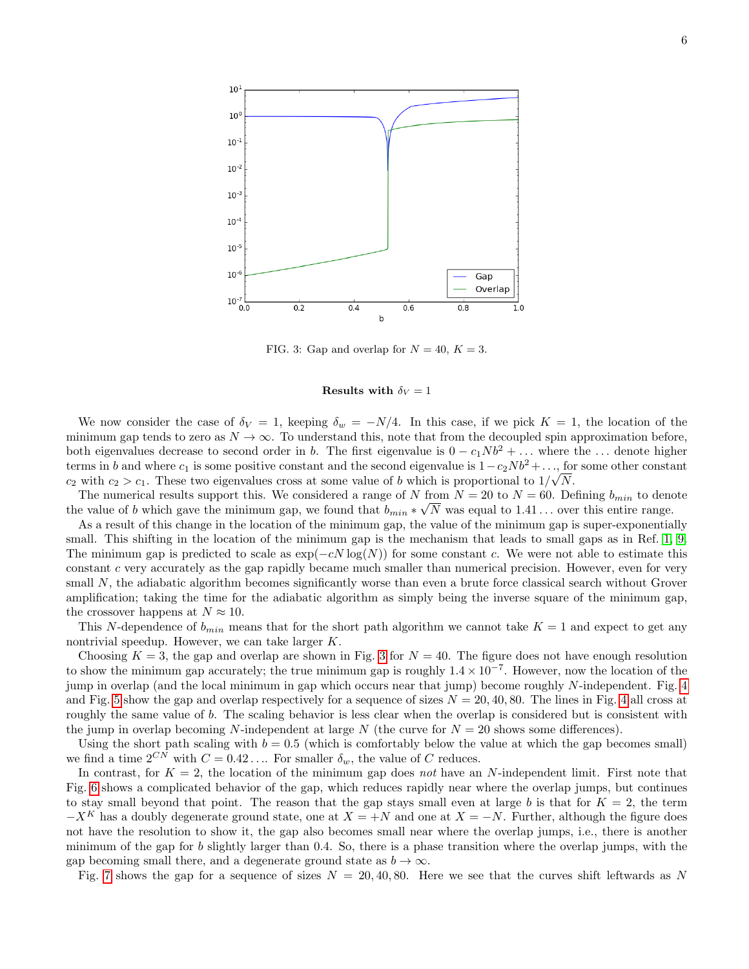

<span id="page-5-0"></span>FIG. 3: Gap and overlap for  $N = 40, K = 3$ .

# Results with  $\delta_V = 1$

We now consider the case of  $\delta_V = 1$ , keeping  $\delta_w = -N/4$ . In this case, if we pick  $K = 1$ , the location of the minimum gap tends to zero as  $N \to \infty$ . To understand this, note that from the decoupled spin approximation before, both eigenvalues decrease to second order in b. The first eigenvalue is  $0 - c_1Nb^2 + ...$  where the ... denote higher terms in b and where  $c_1$  is some positive constant and the second eigenvalue is  $1-c_2Nb^2 + \ldots$ , for some other constant  $c_2$  with  $c_2 > c_1$ . These two eigenvalues cross at some value of b which is proportional to  $1/\sqrt{N}$ .

The numerical results support this. We considered a range of N from  $N = 20$  to  $N = 60$ . Defining  $b_{min}$  to denote the value of b which gave the minimum gap, we found that  $b_{min} * \sqrt{N}$  was equal to 1.41... over this entire range.

As a result of this change in the location of the minimum gap, the value of the minimum gap is super-exponentially small. This shifting in the location of the minimum gap is the mechanism that leads to small gaps as in Ref. [1,](#page-10-2) [9.](#page-10-10) The minimum gap is predicted to scale as  $exp(-cN \log(N))$  for some constant c. We were not able to estimate this constant c very accurately as the gap rapidly became much smaller than numerical precision. However, even for very small N, the adiabatic algorithm becomes significantly worse than even a brute force classical search without Grover amplification; taking the time for the adiabatic algorithm as simply being the inverse square of the minimum gap, the crossover happens at  $N \approx 10$ .

This N-dependence of  $b_{min}$  means that for the short path algorithm we cannot take  $K = 1$  and expect to get any nontrivial speedup. However, we can take larger K.

Choosing  $K = 3$  $K = 3$ , the gap and overlap are shown in Fig. 3 for  $N = 40$ . The figure does not have enough resolution to show the minimum gap accurately; the true minimum gap is roughly  $1.4 \times 10^{-7}$ . However, now the location of the jump in overlap (and the local minimum in gap which occurs near that jump) become roughly N-independent. Fig. [4](#page-6-0) and Fig. [5](#page-6-1) show the gap and overlap respectively for a sequence of sizes  $N = 20, 40, 80$  $N = 20, 40, 80$  $N = 20, 40, 80$ . The lines in Fig. 4 all cross at roughly the same value of b. The scaling behavior is less clear when the overlap is considered but is consistent with the jump in overlap becoming N-independent at large N (the curve for  $N = 20$  shows some differences).

Using the short path scaling with  $b = 0.5$  (which is comfortably below the value at which the gap becomes small) we find a time  $2^{CN}$  with  $C = 0.42...$  For smaller  $\delta_w$ , the value of C reduces.

In contrast, for  $K = 2$ , the location of the minimum gap does not have an N-independent limit. First note that Fig. [6](#page-7-0) shows a complicated behavior of the gap, which reduces rapidly near where the overlap jumps, but continues to stay small beyond that point. The reason that the gap stays small even at large b is that for  $K = 2$ , the term  $-X<sup>K</sup>$  has a doubly degenerate ground state, one at  $X = +N$  and one at  $X = -N$ . Further, although the figure does not have the resolution to show it, the gap also becomes small near where the overlap jumps, i.e., there is another minimum of the gap for b slightly larger than 0.4. So, there is a phase transition where the overlap jumps, with the gap becoming small there, and a degenerate ground state as  $b \to \infty$ .

Fig. [7](#page-7-1) shows the gap for a sequence of sizes  $N = 20, 40, 80$ . Here we see that the curves shift leftwards as N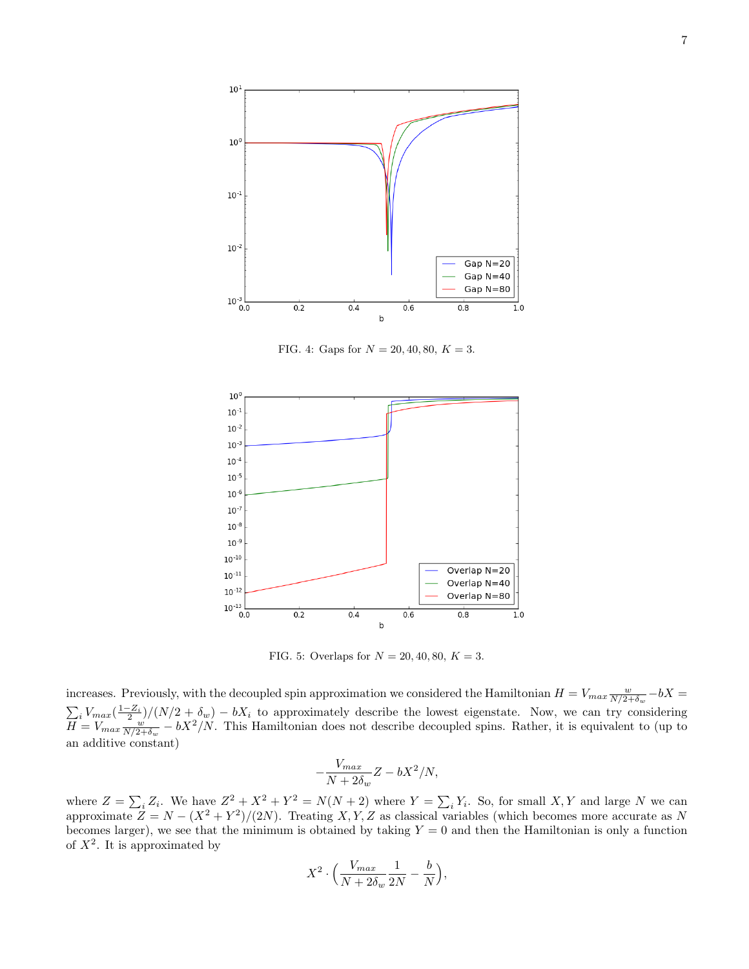

<span id="page-6-0"></span>FIG. 4: Gaps for  $N = 20, 40, 80, K = 3$ .



<span id="page-6-1"></span>FIG. 5: Overlaps for  $N = 20, 40, 80, K = 3$ .

increases. Previously, with the decoupled spin approximation we considered the Hamiltonian  $H = V_{max} \frac{w}{N/2+\delta_w} - bX =$  $\sum_i V_{max}(\frac{1-Z_i}{2})/(N/2+\delta_w) - bX_i$  to approximately describe the lowest eigenstate. Now, we can try considering  $H = V_{max} \frac{w}{N/2+\delta_w} - bX^2/N$ . This Hamiltonian does not describe decoupled spins. Rather, it is equivalent to (up to an additive constant)

$$
-\frac{V_{max}}{N+2\delta_w}Z-bX^2/N,
$$

where  $Z = \sum_i Z_i$ . We have  $Z^2 + X^2 + Y^2 = N(N + 2)$  where  $Y = \sum_i Y_i$ . So, for small X, Y and large N we can approximate  $Z = N - (X^2 + Y^2)/(2N)$ . Treating X, Y, Z as classical variables (which becomes more accurate as N becomes larger), we see that the minimum is obtained by taking  $Y = 0$  and then the Hamiltonian is only a function of  $X^2$ . It is approximated by

$$
X^2\cdot\Big(\frac{V_{max}}{N+2\delta_w}\frac{1}{2N}-\frac{b}{N}\Big),
$$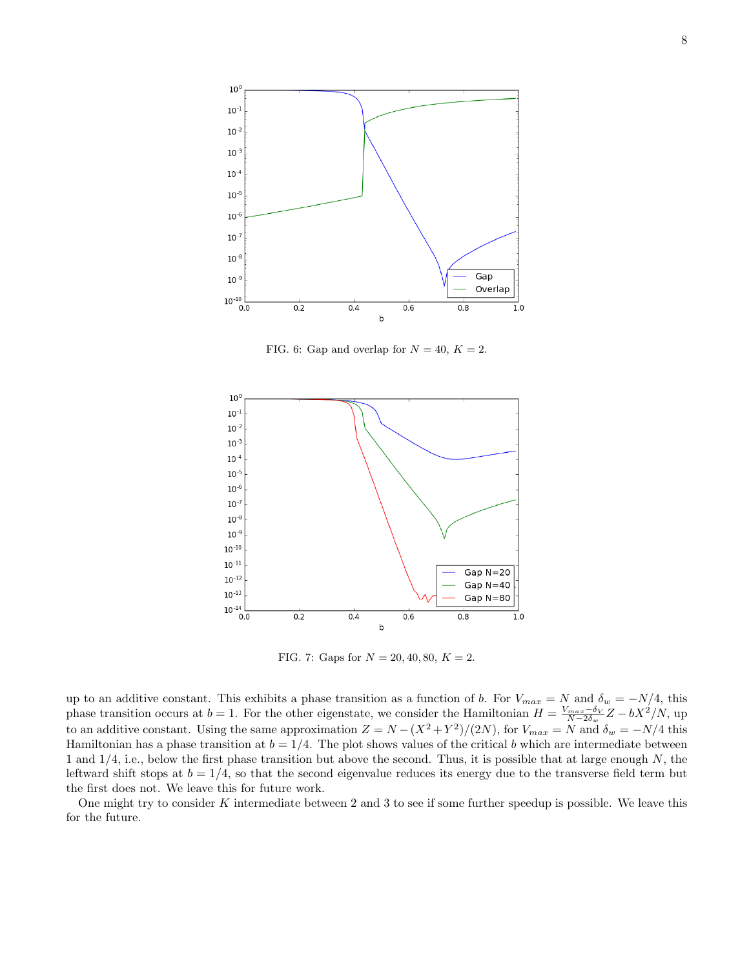

<span id="page-7-0"></span>FIG. 6: Gap and overlap for  $N = 40, K = 2$ .



<span id="page-7-1"></span>FIG. 7: Gaps for  $N = 20, 40, 80, K = 2$ .

up to an additive constant. This exhibits a phase transition as a function of b. For  $V_{max} = N$  and  $\delta_w = -N/4$ , this phase transition occurs at  $b = 1$ . For the other eigenstate, we consider the Hamiltonian  $H = \frac{V_{max} - \delta_V}{N - 2\delta_w}Z - bX^2/N$ , up to an additive constant. Using the same approximation  $Z = N - (X^2 + Y^2)/(2N)$ , for  $V_{max} = N$  and  $\delta_w = -N/4$  this Hamiltonian has a phase transition at  $b = 1/4$ . The plot shows values of the critical b which are intermediate between 1 and  $1/4$ , i.e., below the first phase transition but above the second. Thus, it is possible that at large enough N, the leftward shift stops at  $b = 1/4$ , so that the second eigenvalue reduces its energy due to the transverse field term but the first does not. We leave this for future work.

One might try to consider  $K$  intermediate between 2 and 3 to see if some further speedup is possible. We leave this for the future.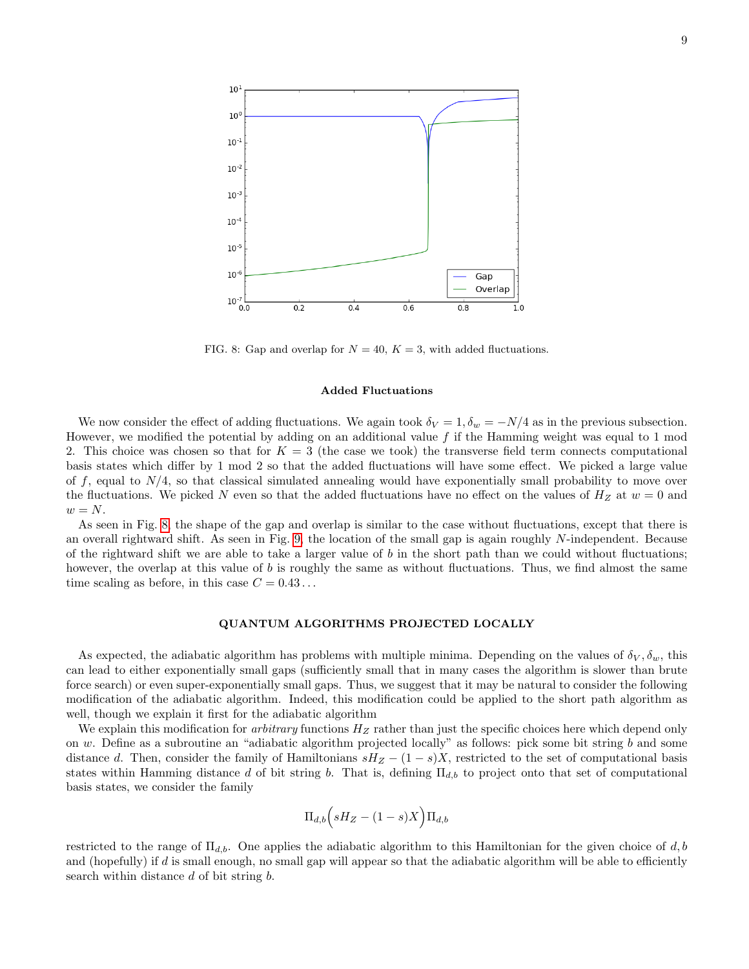

<span id="page-8-0"></span>FIG. 8: Gap and overlap for  $N = 40$ ,  $K = 3$ , with added fluctuations.

### Added Fluctuations

We now consider the effect of adding fluctuations. We again took  $\delta_V = 1, \delta_w = -N/4$  as in the previous subsection. However, we modified the potential by adding on an additional value  $f$  if the Hamming weight was equal to 1 mod 2. This choice was chosen so that for  $K = 3$  (the case we took) the transverse field term connects computational basis states which differ by 1 mod 2 so that the added fluctuations will have some effect. We picked a large value of f, equal to  $N/4$ , so that classical simulated annealing would have exponentially small probability to move over the fluctuations. We picked N even so that the added fluctuations have no effect on the values of  $H_Z$  at  $w = 0$  and  $w = N$ .

As seen in Fig. [8,](#page-8-0) the shape of the gap and overlap is similar to the case without fluctuations, except that there is an overall rightward shift. As seen in Fig. [9,](#page-9-0) the location of the small gap is again roughly N-independent. Because of the rightward shift we are able to take a larger value of  $b$  in the short path than we could without fluctuations; however, the overlap at this value of b is roughly the same as without fluctuations. Thus, we find almost the same time scaling as before, in this case  $C = 0.43...$ 

## QUANTUM ALGORITHMS PROJECTED LOCALLY

As expected, the adiabatic algorithm has problems with multiple minima. Depending on the values of  $\delta_V, \delta_w$ , this can lead to either exponentially small gaps (sufficiently small that in many cases the algorithm is slower than brute force search) or even super-exponentially small gaps. Thus, we suggest that it may be natural to consider the following modification of the adiabatic algorithm. Indeed, this modification could be applied to the short path algorithm as well, though we explain it first for the adiabatic algorithm

We explain this modification for *arbitrary* functions  $H_Z$  rather than just the specific choices here which depend only on w. Define as a subroutine an "adiabatic algorithm projected locally" as follows: pick some bit string  $b$  and some distance d. Then, consider the family of Hamiltonians  $sH_Z - (1-s)X$ , restricted to the set of computational basis states within Hamming distance d of bit string b. That is, defining  $\Pi_{d,b}$  to project onto that set of computational basis states, we consider the family

$$
\Pi_{d,b}\Big(sH_Z-(1-s)X\Big)\Pi_{d,b}
$$

restricted to the range of  $\Pi_{d,b}$ . One applies the adiabatic algorithm to this Hamiltonian for the given choice of d, b and (hopefully) if d is small enough, no small gap will appear so that the adiabatic algorithm will be able to efficiently search within distance d of bit string b.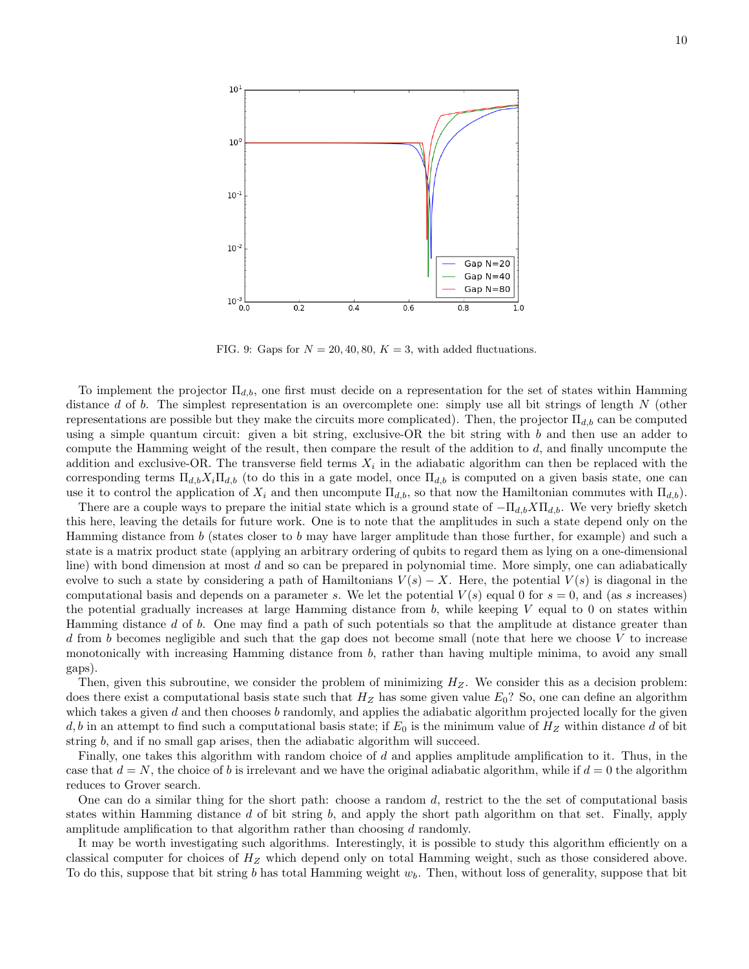

<span id="page-9-0"></span>FIG. 9: Gaps for  $N = 20, 40, 80, K = 3$ , with added fluctuations.

To implement the projector  $\Pi_{d,b}$ , one first must decide on a representation for the set of states within Hamming distance d of b. The simplest representation is an overcomplete one: simply use all bit strings of length  $N$  (other representations are possible but they make the circuits more complicated). Then, the projector  $\Pi_{d,b}$  can be computed using a simple quantum circuit: given a bit string, exclusive-OR the bit string with  $b$  and then use an adder to compute the Hamming weight of the result, then compare the result of the addition to d, and finally uncompute the addition and exclusive-OR. The transverse field terms  $X_i$  in the adiabatic algorithm can then be replaced with the corresponding terms  $\Pi_{d,b}X_i\Pi_{d,b}$  (to do this in a gate model, once  $\Pi_{d,b}$  is computed on a given basis state, one can use it to control the application of  $X_i$  and then uncompute  $\Pi_{d,b}$ , so that now the Hamiltonian commutes with  $\Pi_{d,b}$ .

There are a couple ways to prepare the initial state which is a ground state of  $-\Pi_{d,b}X\Pi_{d,b}$ . We very briefly sketch this here, leaving the details for future work. One is to note that the amplitudes in such a state depend only on the Hamming distance from b (states closer to b may have larger amplitude than those further, for example) and such a state is a matrix product state (applying an arbitrary ordering of qubits to regard them as lying on a one-dimensional line) with bond dimension at most  $d$  and so can be prepared in polynomial time. More simply, one can adiabatically evolve to such a state by considering a path of Hamiltonians  $V(s) - X$ . Here, the potential  $V(s)$  is diagonal in the computational basis and depends on a parameter s. We let the potential  $V(s)$  equal 0 for  $s = 0$ , and (as s increases) the potential gradually increases at large Hamming distance from  $b$ , while keeping  $V$  equal to 0 on states within Hamming distance d of b. One may find a path of such potentials so that the amplitude at distance greater than d from b becomes negligible and such that the gap does not become small (note that here we choose V to increase monotonically with increasing Hamming distance from b, rather than having multiple minima, to avoid any small gaps).

Then, given this subroutine, we consider the problem of minimizing  $H_Z$ . We consider this as a decision problem: does there exist a computational basis state such that  $H_Z$  has some given value  $E_0$ ? So, one can define an algorithm which takes a given  $d$  and then chooses  $b$  randomly, and applies the adiabatic algorithm projected locally for the given  $d, b$  in an attempt to find such a computational basis state; if  $E_0$  is the minimum value of  $H_Z$  within distance d of bit string b, and if no small gap arises, then the adiabatic algorithm will succeed.

Finally, one takes this algorithm with random choice of  $d$  and applies amplitude amplification to it. Thus, in the case that  $d = N$ , the choice of b is irrelevant and we have the original adiabatic algorithm, while if  $d = 0$  the algorithm reduces to Grover search.

One can do a similar thing for the short path: choose a random d, restrict to the the set of computational basis states within Hamming distance d of bit string b, and apply the short path algorithm on that set. Finally, apply amplitude amplification to that algorithm rather than choosing d randomly.

It may be worth investigating such algorithms. Interestingly, it is possible to study this algorithm efficiently on a classical computer for choices of  $H_Z$  which depend only on total Hamming weight, such as those considered above. To do this, suppose that bit string b has total Hamming weight  $w<sub>b</sub>$ . Then, without loss of generality, suppose that bit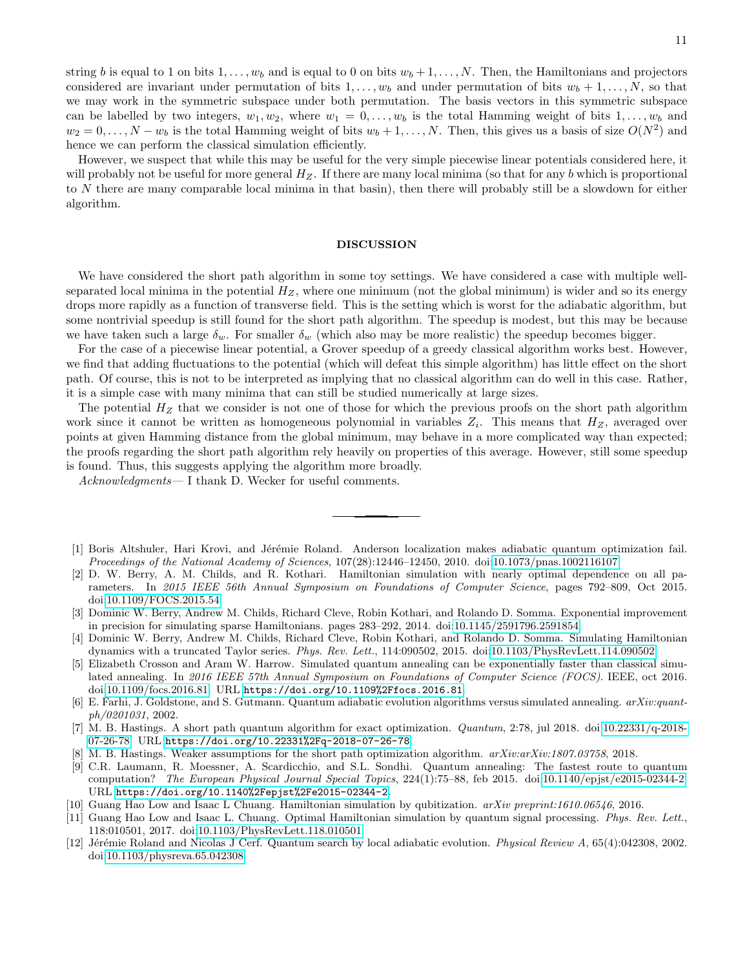string b is equal to 1 on bits  $1, \ldots, w_b$  and is equal to 0 on bits  $w_b + 1, \ldots, N$ . Then, the Hamiltonians and projectors considered are invariant under permutation of bits  $1, \ldots, w_b$  and under permutation of bits  $w_b + 1, \ldots, N$ , so that we may work in the symmetric subspace under both permutation. The basis vectors in this symmetric subspace can be labelled by two integers,  $w_1, w_2$ , where  $w_1 = 0, \ldots, w_b$  is the total Hamming weight of bits  $1, \ldots, w_b$  and  $w_2 = 0, \ldots, N - w_b$  is the total Hamming weight of bits  $w_b + 1, \ldots, N$ . Then, this gives us a basis of size  $O(N^2)$  and hence we can perform the classical simulation efficiently.

However, we suspect that while this may be useful for the very simple piecewise linear potentials considered here, it will probably not be useful for more general  $H_Z$ . If there are many local minima (so that for any b which is proportional to N there are many comparable local minima in that basin), then there will probably still be a slowdown for either algorithm.

### DISCUSSION

We have considered the short path algorithm in some toy settings. We have considered a case with multiple wellseparated local minima in the potential  $H_Z$ , where one minimum (not the global minimum) is wider and so its energy drops more rapidly as a function of transverse field. This is the setting which is worst for the adiabatic algorithm, but some nontrivial speedup is still found for the short path algorithm. The speedup is modest, but this may be because we have taken such a large  $\delta_w$ . For smaller  $\delta_w$  (which also may be more realistic) the speedup becomes bigger.

For the case of a piecewise linear potential, a Grover speedup of a greedy classical algorithm works best. However, we find that adding fluctuations to the potential (which will defeat this simple algorithm) has little effect on the short path. Of course, this is not to be interpreted as implying that no classical algorithm can do well in this case. Rather, it is a simple case with many minima that can still be studied numerically at large sizes.

The potential  $H_Z$  that we consider is not one of those for which the previous proofs on the short path algorithm work since it cannot be written as homogeneous polynomial in variables  $Z_i$ . This means that  $H_Z$ , averaged over points at given Hamming distance from the global minimum, may behave in a more complicated way than expected; the proofs regarding the short path algorithm rely heavily on properties of this average. However, still some speedup is found. Thus, this suggests applying the algorithm more broadly.

Acknowledgments— I thank D. Wecker for useful comments.

- <span id="page-10-2"></span>[1] Boris Altshuler, Hari Krovi, and Jérémie Roland. Anderson localization makes adiabatic quantum optimization fail. Proceedings of the National Academy of Sciences, 107(28):12446–12450, 2010. doi[:10.1073/pnas.1002116107.](http://dx.doi.org/10.1073/pnas.1002116107)
- <span id="page-10-3"></span>[2] D. W. Berry, A. M. Childs, and R. Kothari. Hamiltonian simulation with nearly optimal dependence on all parameters. In 2015 IEEE 56th Annual Symposium on Foundations of Computer Science, pages 792–809, Oct 2015. doi[:10.1109/FOCS.2015.54.](http://dx.doi.org/10.1109/FOCS.2015.54)
- [3] Dominic W. Berry, Andrew M. Childs, Richard Cleve, Robin Kothari, and Rolando D. Somma. Exponential improvement in precision for simulating sparse Hamiltonians. pages 283–292, 2014. doi[:10.1145/2591796.2591854.](http://dx.doi.org/10.1145/2591796.2591854)
- <span id="page-10-4"></span>[4] Dominic W. Berry, Andrew M. Childs, Richard Cleve, Robin Kothari, and Rolando D. Somma. Simulating Hamiltonian dynamics with a truncated Taylor series. Phys. Rev. Lett., 114:090502, 2015. doi[:10.1103/PhysRevLett.114.090502.](http://dx.doi.org/10.1103/PhysRevLett.114.090502)
- <span id="page-10-7"></span>Elizabeth Crosson and Aram W. Harrow. Simulated quantum annealing can be exponentially faster than classical simulated annealing. In 2016 IEEE 57th Annual Symposium on Foundations of Computer Science (FOCS). IEEE, oct 2016. doi[:10.1109/focs.2016.81.](http://dx.doi.org/10.1109/focs.2016.81) URL <https://doi.org/10.1109%2Ffocs.2016.81>.
- <span id="page-10-8"></span>[6] E. Farhi, J. Goldstone, and S. Gutmann. Quantum adiabatic evolution algorithms versus simulated annealing. arXiv:quantph/0201031, 2002.
- <span id="page-10-0"></span>[7] M. B. Hastings. A short path quantum algorithm for exact optimization. Quantum, 2:78, jul 2018. doi[:10.22331/q-2018-](http://dx.doi.org/10.22331/q-2018-07-26-78) [07-26-78.](http://dx.doi.org/10.22331/q-2018-07-26-78) URL <https://doi.org/10.22331%2Fq-2018-07-26-78>.
- <span id="page-10-1"></span>[8] M. B. Hastings. Weaker assumptions for the short path optimization algorithm.  $arXiv:arXiv:1807.03758$ , 2018.
- <span id="page-10-10"></span>[9] C.R. Laumann, R. Moessner, A. Scardicchio, and S.L. Sondhi. Quantum annealing: The fastest route to quantum computation? The European Physical Journal Special Topics, 224(1):75–88, feb 2015. doi[:10.1140/epjst/e2015-02344-2.](http://dx.doi.org/10.1140/epjst/e2015-02344-2) URL <https://doi.org/10.1140%2Fepjst%2Fe2015-02344-2>.
- <span id="page-10-5"></span>[10] Guang Hao Low and Isaac L Chuang. Hamiltonian simulation by qubitization. arXiv preprint:1610.06546, 2016.
- <span id="page-10-6"></span>[11] Guang Hao Low and Isaac L. Chuang. Optimal Hamiltonian simulation by quantum signal processing. Phys. Rev. Lett., 118:010501, 2017. doi[:10.1103/PhysRevLett.118.010501.](http://dx.doi.org/10.1103/PhysRevLett.118.010501)
- <span id="page-10-9"></span>[12] Jérémie Roland and Nicolas J Cerf. Quantum search by local adiabatic evolution. *Physical Review A*, 65(4):042308, 2002. doi[:10.1103/physreva.65.042308.](http://dx.doi.org/10.1103/physreva.65.042308)